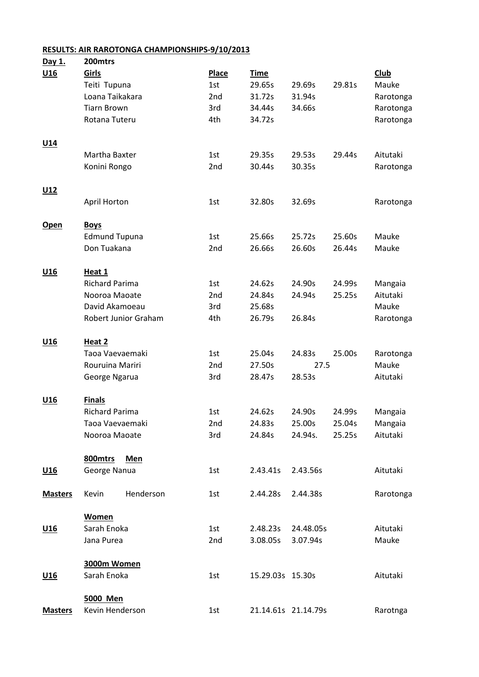## **RESULTS: AIR RAROTONGA CHAMPIONSHIPS-9/10/2013**

| Day 1.          | 200mtrs               |                 |                  |                     |        |             |  |  |
|-----------------|-----------------------|-----------------|------------------|---------------------|--------|-------------|--|--|
| U16             | Girls                 | <b>Place</b>    | <b>Time</b>      |                     |        | <b>Club</b> |  |  |
|                 | Teiti Tupuna          | 1st             | 29.65s           | 29.69s              | 29.81s | Mauke       |  |  |
|                 | Loana Taikakara       | 2nd             | 31.72s           | 31.94s              |        | Rarotonga   |  |  |
|                 | <b>Tiarn Brown</b>    | 3rd             | 34.44s           | 34.66s              |        | Rarotonga   |  |  |
|                 | Rotana Tuteru         | 4th             | 34.72s           |                     |        | Rarotonga   |  |  |
| U14             |                       |                 |                  |                     |        |             |  |  |
|                 | Martha Baxter         | 1st             | 29.35s           | 29.53s              | 29.44s | Aitutaki    |  |  |
|                 | Konini Rongo          | 2 <sub>nd</sub> | 30.44s           | 30.35s              |        | Rarotonga   |  |  |
| U <sub>12</sub> |                       |                 |                  |                     |        |             |  |  |
|                 | April Horton          | 1st             | 32.80s           | 32.69s              |        | Rarotonga   |  |  |
| <b>Open</b>     | <b>Boys</b>           |                 |                  |                     |        |             |  |  |
|                 | <b>Edmund Tupuna</b>  | 1st             | 25.66s           | 25.72s              | 25.60s | Mauke       |  |  |
|                 | Don Tuakana           | 2nd             | 26.66s           | 26.60s              | 26.44s | Mauke       |  |  |
| U16             | Heat 1                |                 |                  |                     |        |             |  |  |
|                 | <b>Richard Parima</b> | 1st             | 24.62s           | 24.90s              | 24.99s | Mangaia     |  |  |
|                 | Nooroa Maoate         | 2nd             | 24.84s           | 24.94s              | 25.25s | Aitutaki    |  |  |
|                 | David Akamoeau        | 3rd             | 25.68s           |                     |        | Mauke       |  |  |
|                 | Robert Junior Graham  | 4th             | 26.79s           | 26.84s              |        | Rarotonga   |  |  |
| U16             | Heat 2                |                 |                  |                     |        |             |  |  |
|                 | Taoa Vaevaemaki       | 1st             | 25.04s           | 24.83s              | 25.00s | Rarotonga   |  |  |
|                 | Rouruina Mariri       | 2nd             | 27.50s           | 27.5                |        | Mauke       |  |  |
|                 | George Ngarua         | 3rd             | 28.47s           | 28.53s              |        | Aitutaki    |  |  |
| U16             | <b>Finals</b>         |                 |                  |                     |        |             |  |  |
|                 | <b>Richard Parima</b> | 1st             | 24.62s           | 24.90s              | 24.99s | Mangaia     |  |  |
|                 | Taoa Vaevaemaki       | 2nd             | 24.83s           | 25.00s              | 25.04s | Mangaia     |  |  |
|                 | Nooroa Maoate         | 3rd             | 24.84s           | 24.94s.             | 25.25s | Aitutaki    |  |  |
|                 | 800mtrs<br><b>Men</b> |                 |                  |                     |        |             |  |  |
| $U16$           | George Nanua          | 1st             | 2.43.41s         | 2.43.56s            |        | Aitutaki    |  |  |
| <b>Masters</b>  | Henderson<br>Kevin    | 1st             | 2.44.28s         | 2.44.38s            |        | Rarotonga   |  |  |
|                 | <b>Women</b>          |                 |                  |                     |        |             |  |  |
| $U16$           | Sarah Enoka           | 1st             | 2.48.23s         | 24.48.05s           |        | Aitutaki    |  |  |
|                 | Jana Purea            | 2nd             | 3.08.05s         | 3.07.94s            |        | Mauke       |  |  |
|                 | 3000m Women           |                 |                  |                     |        |             |  |  |
| U16             | Sarah Enoka           | 1st             | 15.29.03s 15.30s |                     |        | Aitutaki    |  |  |
|                 | 5000 Men              |                 |                  |                     |        |             |  |  |
| <b>Masters</b>  | Kevin Henderson       | 1st             |                  | 21.14.61s 21.14.79s |        | Rarotnga    |  |  |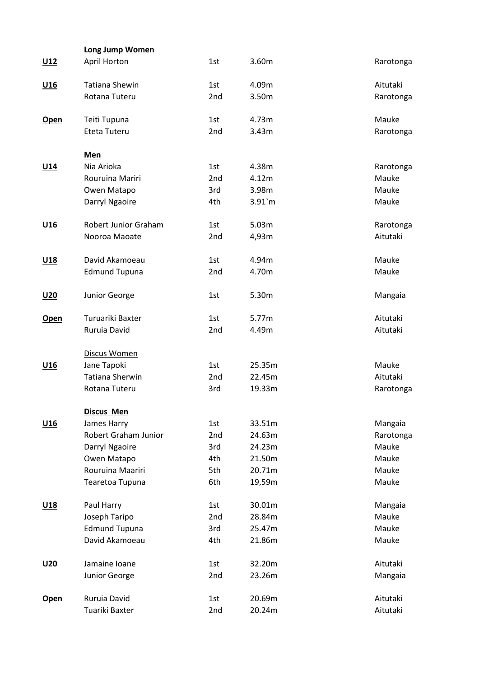|                 | Long Jump Women             |                 |        |           |
|-----------------|-----------------------------|-----------------|--------|-----------|
| <u>U12</u>      | April Horton                | 1st             | 3.60m  | Rarotonga |
| U <sub>16</sub> | <b>Tatiana Shewin</b>       | 1st             | 4.09m  | Aitutaki  |
|                 | Rotana Tuteru               | 2nd             | 3.50m  | Rarotonga |
| <b>Open</b>     | Teiti Tupuna                | 1st             | 4.73m  | Mauke     |
|                 | Eteta Tuteru                | 2nd             | 3.43m  | Rarotonga |
|                 | Men                         |                 |        |           |
| U <sub>14</sub> | Nia Arioka                  | 1st             | 4.38m  | Rarotonga |
|                 | Rouruina Mariri             | 2 <sub>nd</sub> | 4.12m  | Mauke     |
|                 | Owen Matapo                 | 3rd             | 3.98m  | Mauke     |
|                 | Darryl Ngaoire              | 4th             | 3.91'm | Mauke     |
| U <sub>16</sub> | <b>Robert Junior Graham</b> | 1st             | 5.03m  | Rarotonga |
|                 | Nooroa Maoate               | 2nd             | 4,93m  | Aitutaki  |
| U <sub>18</sub> | David Akamoeau              | 1st             | 4.94m  | Mauke     |
|                 | <b>Edmund Tupuna</b>        | 2nd             | 4.70m  | Mauke     |
| U <sub>20</sub> | Junior George               | 1st             | 5.30m  | Mangaia   |
| <b>Open</b>     | Turuariki Baxter            | 1st             | 5.77m  | Aitutaki  |
|                 | Ruruia David                | 2 <sub>nd</sub> | 4.49m  | Aitutaki  |
|                 | Discus Women                |                 |        |           |
| U <sub>16</sub> | Jane Tapoki                 | 1st             | 25.35m | Mauke     |
|                 | <b>Tatiana Sherwin</b>      | 2 <sub>nd</sub> | 22.45m | Aitutaki  |
|                 | Rotana Tuteru               | 3rd             | 19.33m | Rarotonga |
|                 | <b>Discus Men</b>           |                 |        |           |
| U <sub>16</sub> | James Harry                 | 1st             | 33.51m | Mangaia   |
|                 | Robert Graham Junior        | 2nd             | 24.63m | Rarotonga |
|                 | Darryl Ngaoire              | 3rd             | 24.23m | Mauke     |
|                 | Owen Matapo                 | 4th             | 21.50m | Mauke     |
|                 | Rouruina Maariri            | 5th             | 20.71m | Mauke     |
|                 | Tearetoa Tupuna             | 6th             | 19,59m | Mauke     |
| U <sub>18</sub> | Paul Harry                  | 1st             | 30.01m | Mangaia   |
|                 | Joseph Taripo               | 2 <sub>nd</sub> | 28.84m | Mauke     |
|                 | <b>Edmund Tupuna</b>        | 3rd             | 25.47m | Mauke     |
|                 | David Akamoeau              | 4th             | 21.86m | Mauke     |
| U20             | Jamaine Ioane               | 1st             | 32.20m | Aitutaki  |
|                 | Junior George               | 2nd             | 23.26m | Mangaia   |
| Open            | Ruruia David                | 1st             | 20.69m | Aitutaki  |
|                 | Tuariki Baxter              | 2nd             | 20.24m | Aitutaki  |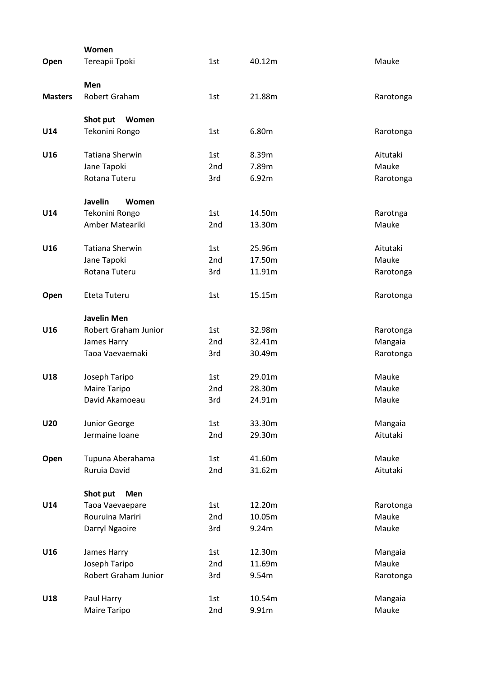|                | Women                  |                 |        |           |
|----------------|------------------------|-----------------|--------|-----------|
| Open           | Tereapii Tpoki         | 1st             | 40.12m | Mauke     |
|                |                        |                 |        |           |
|                | Men                    |                 |        |           |
| <b>Masters</b> | Robert Graham          | 1st             | 21.88m | Rarotonga |
|                |                        |                 |        |           |
|                | Shot put<br>Women      |                 |        |           |
| U14            | Tekonini Rongo         | 1st             | 6.80m  | Rarotonga |
| U16            | <b>Tatiana Sherwin</b> | 1st             | 8.39m  | Aitutaki  |
|                | Jane Tapoki            | 2nd             | 7.89m  | Mauke     |
|                | Rotana Tuteru          | 3rd             | 6.92m  | Rarotonga |
|                |                        |                 |        |           |
|                | Javelin<br>Women       |                 |        |           |
| U14            | Tekonini Rongo         | 1st             | 14.50m | Rarotnga  |
|                | Amber Mateariki        | 2 <sub>nd</sub> | 13.30m | Mauke     |
|                |                        |                 |        |           |
| U16            | <b>Tatiana Sherwin</b> | 1st             | 25.96m | Aitutaki  |
|                | Jane Tapoki            | 2 <sub>nd</sub> | 17.50m | Mauke     |
|                | Rotana Tuteru          | 3rd             | 11.91m | Rarotonga |
|                |                        |                 |        |           |
| Open           | Eteta Tuteru           | 1st             | 15.15m | Rarotonga |
|                | <b>Javelin Men</b>     |                 |        |           |
| U16            | Robert Graham Junior   | 1st             | 32.98m | Rarotonga |
|                | James Harry            | 2nd             | 32.41m | Mangaia   |
|                | Taoa Vaevaemaki        | 3rd             | 30.49m | Rarotonga |
|                |                        |                 |        |           |
| U18            | Joseph Taripo          | 1st             | 29.01m | Mauke     |
|                | Maire Taripo           | 2nd             | 28.30m | Mauke     |
|                | David Akamoeau         | 3rd             | 24.91m | Mauke     |
|                |                        |                 |        |           |
| <b>U20</b>     | Junior George          | 1st             | 33.30m | Mangaia   |
|                | Jermaine Ioane         | 2nd             | 29.30m | Aitutaki  |
|                |                        |                 |        |           |
| Open           | Tupuna Aberahama       | 1st             | 41.60m | Mauke     |
|                | Ruruia David           | 2nd             | 31.62m | Aitutaki  |
|                | Shot put<br>Men        |                 |        |           |
| U14            | Taoa Vaevaepare        | 1st             | 12.20m | Rarotonga |
|                | Rouruina Mariri        | 2nd             | 10.05m | Mauke     |
|                | Darryl Ngaoire         | 3rd             | 9.24m  | Mauke     |
|                |                        |                 |        |           |
| U16            | James Harry            | 1st             | 12.30m | Mangaia   |
|                | Joseph Taripo          | 2 <sub>nd</sub> | 11.69m | Mauke     |
|                | Robert Graham Junior   | 3rd             | 9.54m  | Rarotonga |
|                |                        |                 |        |           |
| U18            | Paul Harry             | 1st             | 10.54m | Mangaia   |
|                | Maire Taripo           | 2nd             | 9.91m  | Mauke     |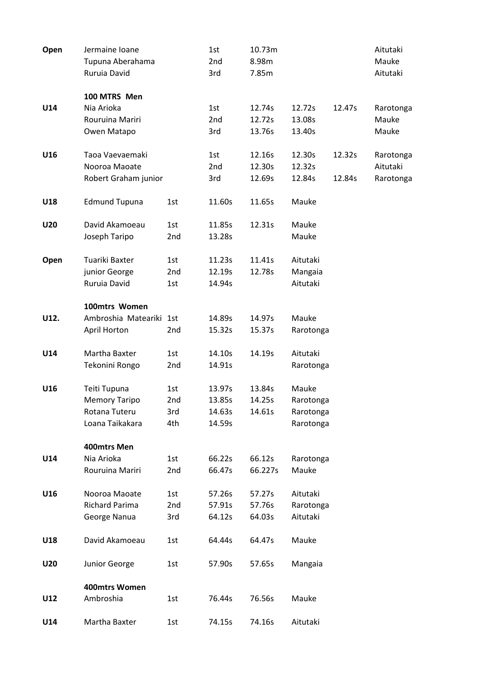| Open       | Jermaine Ioane<br>Tupuna Aberahama<br>Ruruia David |     | 1st<br>2nd<br>3rd | 10.73m<br>8.98m<br>7.85m |           |        | Aitutaki<br>Mauke<br>Aitutaki |
|------------|----------------------------------------------------|-----|-------------------|--------------------------|-----------|--------|-------------------------------|
|            | 100 MTRS Men                                       |     |                   |                          |           |        |                               |
| U14        | Nia Arioka                                         |     | 1st               | 12.74s                   | 12.72s    | 12.47s | Rarotonga                     |
|            | Rouruina Mariri                                    |     | 2nd               | 12.72s                   | 13.08s    |        | Mauke                         |
|            | Owen Matapo                                        |     | 3rd               | 13.76s                   | 13.40s    |        | Mauke                         |
| U16        | Taoa Vaevaemaki                                    |     | 1st               | 12.16s                   | 12.30s    | 12.32s | Rarotonga                     |
|            | Nooroa Maoate                                      |     | 2nd               | 12.30s                   | 12.32s    |        | Aitutaki                      |
|            | Robert Graham junior                               |     | 3rd               | 12.69s                   | 12.84s    | 12.84s | Rarotonga                     |
| U18        | <b>Edmund Tupuna</b>                               | 1st | 11.60s            | 11.65s                   | Mauke     |        |                               |
| <b>U20</b> | David Akamoeau                                     | 1st | 11.85s            | 12.31s                   | Mauke     |        |                               |
|            | Joseph Taripo                                      | 2nd | 13.28s            |                          | Mauke     |        |                               |
| Open       | Tuariki Baxter                                     | 1st | 11.23s            | 11.41s                   | Aitutaki  |        |                               |
|            | junior George                                      | 2nd | 12.19s            | 12.78s                   | Mangaia   |        |                               |
|            | Ruruia David                                       | 1st | 14.94s            |                          | Aitutaki  |        |                               |
|            | 100mtrs Women                                      |     |                   |                          |           |        |                               |
| U12.       | Ambroshia Mateariki 1st                            |     | 14.89s            | 14.97s                   | Mauke     |        |                               |
|            | April Horton                                       | 2nd | 15.32s            | 15.37s                   | Rarotonga |        |                               |
| U14        | Martha Baxter                                      | 1st | 14.10s            | 14.19s                   | Aitutaki  |        |                               |
|            | Tekonini Rongo                                     | 2nd | 14.91s            |                          | Rarotonga |        |                               |
| U16        | Teiti Tupuna                                       | 1st | 13.97s            | 13.84s                   | Mauke     |        |                               |
|            | <b>Memory Taripo</b>                               | 2nd | 13.85s            | 14.25s                   | Rarotonga |        |                               |
|            | Rotana Tuteru                                      | 3rd | 14.63s            | 14.61s                   | Rarotonga |        |                               |
|            | Loana Taikakara                                    | 4th | 14.59s            |                          | Rarotonga |        |                               |
|            | 400mtrs Men                                        |     |                   |                          |           |        |                               |
| U14        | Nia Arioka                                         | 1st | 66.22s            | 66.12s                   | Rarotonga |        |                               |
|            | Rouruina Mariri                                    | 2nd | 66.47s            | 66.227s                  | Mauke     |        |                               |
| U16        | Nooroa Maoate                                      | 1st | 57.26s            | 57.27s                   | Aitutaki  |        |                               |
|            | <b>Richard Parima</b>                              | 2nd | 57.91s            | 57.76s                   | Rarotonga |        |                               |
|            | George Nanua                                       | 3rd | 64.12s            | 64.03s                   | Aitutaki  |        |                               |
| U18        | David Akamoeau                                     | 1st | 64.44s            | 64.47s                   | Mauke     |        |                               |
| U20        | Junior George                                      | 1st | 57.90s            | 57.65s                   | Mangaia   |        |                               |
|            | 400mtrs Women                                      |     |                   |                          |           |        |                               |
| U12        | Ambroshia                                          | 1st | 76.44s            | 76.56s                   | Mauke     |        |                               |
| U14        | Martha Baxter                                      | 1st | 74.15s            | 74.16s                   | Aitutaki  |        |                               |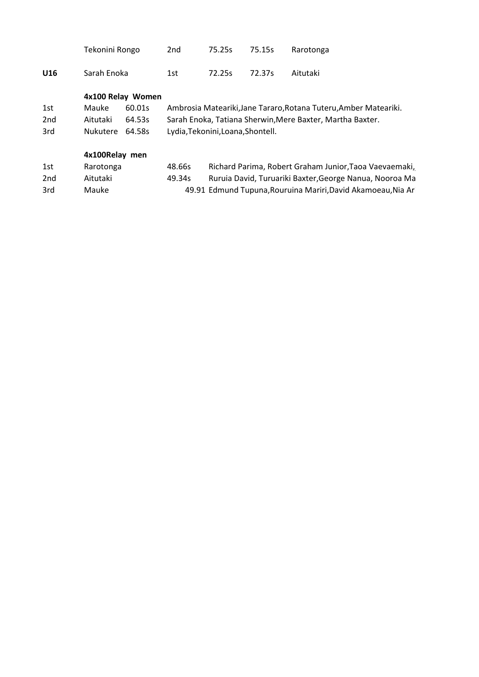|     | Tekonini Rongo | 2nd | 75.25s | 75.15s | Rarotonga |
|-----|----------------|-----|--------|--------|-----------|
| U16 | Sarah Enoka    | 1st | 72.25s | 72.37s | Aitutaki  |

**4x100 Relay Women**

| 1st | Mauke           | 60.01s | Ambrosia Mateariki, Jane Tararo, Rotana Tuteru, Amber Mateariki. |
|-----|-----------------|--------|------------------------------------------------------------------|
| 2nd | Aitutaki        | 64.53s | Sarah Enoka, Tatiana Sherwin, Mere Baxter, Martha Baxter.        |
| 3rd | Nukutere 64.58s |        | Lydia, Tekonini, Loana, Shontell.                                |

## **4x100Relay men**

| 1st | Rarotonga | 48.66s | Richard Parima, Robert Graham Junior, Taoa Vaevaemaki,        |
|-----|-----------|--------|---------------------------------------------------------------|
| 2nd | Aitutaki  | 49.34s | Ruruia David, Turuariki Baxter, George Nanua, Nooroa Ma       |
| 3rd | Mauke     |        | 49.91 Edmund Tupuna, Rouruina Mariri, David Akamoeau, Nia Ari |